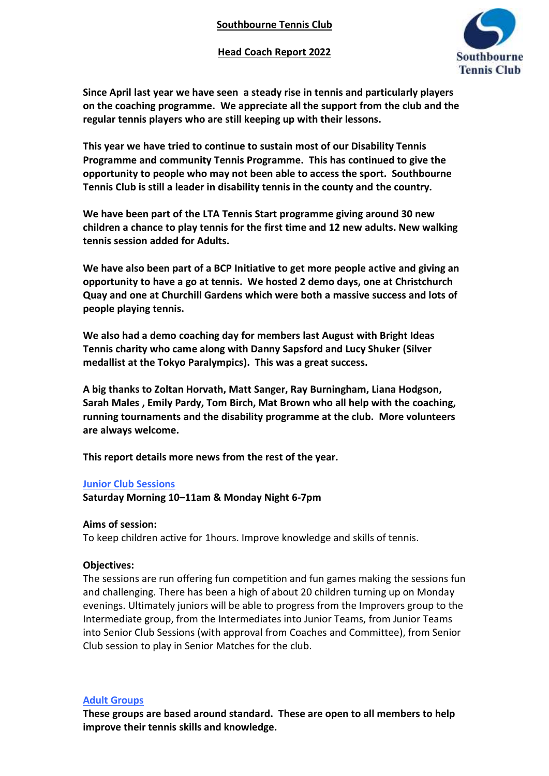**Head Coach Report 2022**



**Since April last year we have seen a steady rise in tennis and particularly players on the coaching programme. We appreciate all the support from the club and the regular tennis players who are still keeping up with their lessons.**

**This year we have tried to continue to sustain most of our Disability Tennis Programme and community Tennis Programme. This has continued to give the opportunity to people who may not been able to access the sport. Southbourne Tennis Club is still a leader in disability tennis in the county and the country.** 

**We have been part of the LTA Tennis Start programme giving around 30 new children a chance to play tennis for the first time and 12 new adults. New walking tennis session added for Adults.** 

**We have also been part of a BCP Initiative to get more people active and giving an opportunity to have a go at tennis. We hosted 2 demo days, one at Christchurch Quay and one at Churchill Gardens which were both a massive success and lots of people playing tennis.**

**We also had a demo coaching day for members last August with Bright Ideas Tennis charity who came along with Danny Sapsford and Lucy Shuker (Silver medallist at the Tokyo Paralympics). This was a great success.**

**A big thanks to Zoltan Horvath, Matt Sanger, Ray Burningham, Liana Hodgson, Sarah Males , Emily Pardy, Tom Birch, Mat Brown who all help with the coaching, running tournaments and the disability programme at the club. More volunteers are always welcome.**

**This report details more news from the rest of the year.** 

# **Junior Club Sessions**

**Saturday Morning 10–11am & Monday Night 6-7pm**

# **Aims of session:**

To keep children active for 1hours. Improve knowledge and skills of tennis.

# **Objectives:**

The sessions are run offering fun competition and fun games making the sessions fun and challenging. There has been a high of about 20 children turning up on Monday evenings. Ultimately juniors will be able to progress from the Improvers group to the Intermediate group, from the Intermediates into Junior Teams, from Junior Teams into Senior Club Sessions (with approval from Coaches and Committee), from Senior Club session to play in Senior Matches for the club.

# **Adult Groups**

**These groups are based around standard. These are open to all members to help improve their tennis skills and knowledge.**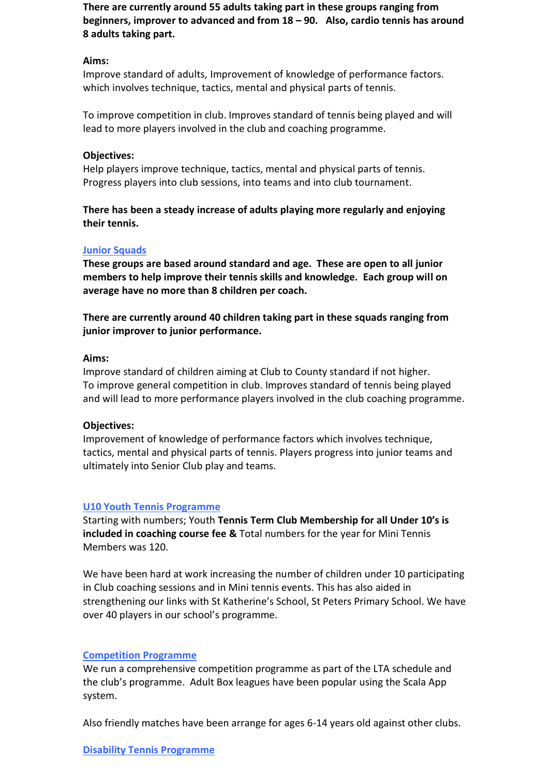**There are currently around 55 adults taking part in these groups ranging from beginners, improver to advanced and from 18 – 90. Also, cardio tennis has around 8 adults taking part.**

### **Aims:**

Improve standard of adults, Improvement of knowledge of performance factors. which involves technique, tactics, mental and physical parts of tennis.

To improve competition in club. Improves standard of tennis being played and will lead to more players involved in the club and coaching programme.

### **Objectives:**

Help players improve technique, tactics, mental and physical parts of tennis. Progress players into club sessions, into teams and into club tournament.

**There has been a steady increase of adults playing more regularly and enjoying their tennis.** 

### **Junior Squads**

**These groups are based around standard and age. These are open to all junior members to help improve their tennis skills and knowledge. Each group will on average have no more than 8 children per coach.**

**There are currently around 40 children taking part in these squads ranging from junior improver to junior performance.** 

#### **Aims:**

Improve standard of children aiming at Club to County standard if not higher. To improve general competition in club. Improves standard of tennis being played and will lead to more performance players involved in the club coaching programme.

#### **Objectives:**

Improvement of knowledge of performance factors which involves technique, tactics, mental and physical parts of tennis. Players progress into junior teams and ultimately into Senior Club play and teams.

# **U10 Youth Tennis Programme**

Starting with numbers; Youth **Tennis Term Club Membership for all Under 10's is included in coaching course fee &** Total numbers for the year for Mini Tennis Members was 120.

We have been hard at work increasing the number of children under 10 participating in Club coaching sessions and in Mini tennis events. This has also aided in strengthening our links with St Katherine's School, St Peters Primary School. We have over 40 players in our school's programme.

#### **Competition Programme**

We run a comprehensive competition programme as part of the LTA schedule and the club's programme. Adult Box leagues have been popular using the Scala App system.

Also friendly matches have been arrange for ages 6-14 years old against other clubs.

#### **Disability Tennis Programme**